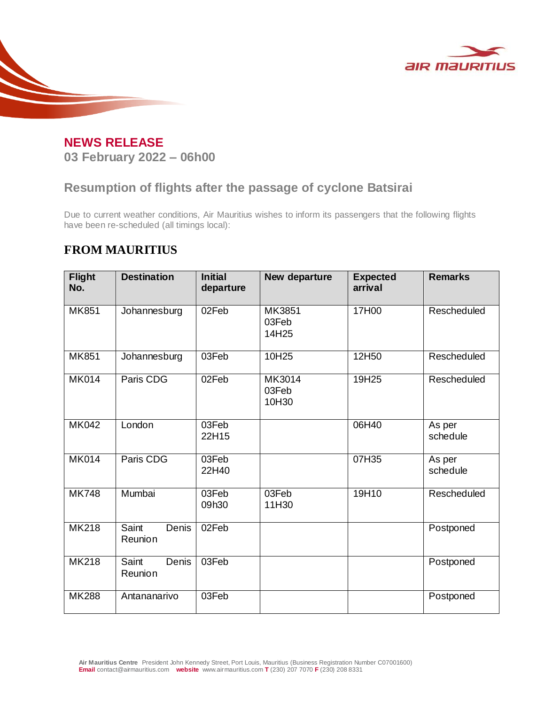



## **Resumption of flights after the passage of cyclone Batsirai**

Due to current weather conditions, Air Mauritius wishes to inform its passengers that the following flights have been re-scheduled (all timings local):

## **FROM MAURITIUS**

| <b>Flight</b><br>No. | <b>Destination</b>        | <b>Initial</b><br>departure | New departure            | <b>Expected</b><br>arrival | <b>Remarks</b>     |
|----------------------|---------------------------|-----------------------------|--------------------------|----------------------------|--------------------|
| <b>MK851</b>         | Johannesburg              | 02Feb                       | MK3851<br>03Feb<br>14H25 | 17H00                      | Rescheduled        |
| <b>MK851</b>         | Johannesburg              | 03Feb                       | 10H25                    | 12H50                      | Rescheduled        |
| <b>MK014</b>         | Paris CDG                 | 02Feb                       | MK3014<br>03Feb<br>10H30 | 19H25                      | Rescheduled        |
| <b>MK042</b>         | London                    | 03Feb<br>22H15              |                          | 06H40                      | As per<br>schedule |
| <b>MK014</b>         | Paris CDG                 | 03Feb<br>22H40              |                          | 07H35                      | As per<br>schedule |
| <b>MK748</b>         | Mumbai                    | 03Feb<br>09h30              | 03Feb<br>11H30           | 19H10                      | Rescheduled        |
| <b>MK218</b>         | Saint<br>Denis<br>Reunion | 02Feb                       |                          |                            | Postponed          |
| <b>MK218</b>         | Saint<br>Denis<br>Reunion | 03Feb                       |                          |                            | Postponed          |
| <b>MK288</b>         | Antananarivo              | 03Feb                       |                          |                            | Postponed          |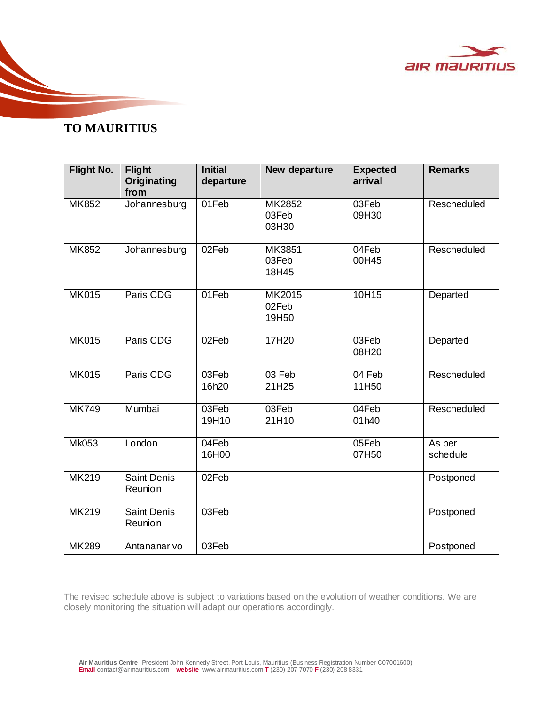

## **TO MAURITIUS**

| <b>Flight No.</b> | <b>Flight</b><br>Originating<br>from | <b>Initial</b><br>departure | New departure            | <b>Expected</b><br>arrival | <b>Remarks</b>     |
|-------------------|--------------------------------------|-----------------------------|--------------------------|----------------------------|--------------------|
| <b>MK852</b>      | Johannesburg                         | 01Feb                       | MK2852<br>03Feb<br>03H30 | 03Feb<br>09H30             | Rescheduled        |
| MK852             | Johannesburg                         | 02Feb                       | MK3851<br>03Feb<br>18H45 | 04Feb<br>00H45             | Rescheduled        |
| <b>MK015</b>      | Paris CDG                            | 01Feb                       | MK2015<br>02Feb<br>19H50 | 10H15                      | Departed           |
| <b>MK015</b>      | Paris CDG                            | 02Feb                       | 17H20                    | 03Feb<br>08H20             | Departed           |
| <b>MK015</b>      | Paris CDG                            | 03Feb<br>16h20              | 03 Feb<br>21H25          | 04 Feb<br>11H50            | Rescheduled        |
| <b>MK749</b>      | Mumbai                               | 03Feb<br>19H10              | 03Feb<br>21H10           | 04Feb<br>01h40             | Rescheduled        |
| <b>Mk053</b>      | London                               | 04Feb<br>16H00              |                          | 05Feb<br>07H50             | As per<br>schedule |
| <b>MK219</b>      | <b>Saint Denis</b><br>Reunion        | 02Feb                       |                          |                            | Postponed          |
| <b>MK219</b>      | <b>Saint Denis</b><br>Reunion        | 03Feb                       |                          |                            | Postponed          |
| <b>MK289</b>      | Antananarivo                         | 03Feb                       |                          |                            | Postponed          |

The revised schedule above is subject to variations based on the evolution of weather conditions. We are closely monitoring the situation will adapt our operations accordingly.